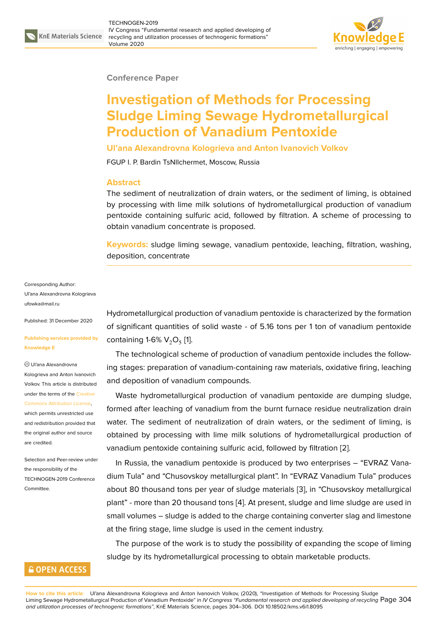

### **Conference Paper**

# **Investigation of Methods for Processing Sludge Liming Sewage Hydrometallurgical Production of Vanadium Pentoxide**

**Ul'ana Alexandrovna Kologrieva and Anton Ivanovich Volkov**

FGUP I. P. Bardin TsNIIchermet, Moscow, Russia

### **Abstract**

The sediment of neutralization of drain waters, or the sediment of liming, is obtained by processing with lime milk solutions of hydrometallurgical production of vanadium pentoxide containing sulfuric acid, followed by filtration. A scheme of processing to obtain vanadium concentrate is proposed.

**Keywords:** sludge liming sewage, vanadium pentoxide, leaching, filtration, washing, deposition, concentrate

Corresponding Author: Ul'ana Alexandrovna Kologrieva ufowka@mail.ru

Published: 31 December 2020

### **[Publishing serv](mailto:ufowka@mail.ru)ices provided by Knowledge E**

Ul'ana Alexandrovna

Kologrieva and Anton Ivanovich Volkov. This article is distributed under the terms of the Creative

#### Commons Attribution License,

which permits unrestricted use and redistribution provided that the original author and [source](https://creativecommons.org/licenses/by/4.0/) [are credited.](https://creativecommons.org/licenses/by/4.0/)

Selection and Peer-review under the responsibility of the TECHNOGEN-2019 Conference Committee.

### **GOPEN ACCESS**

Hydrometallurgical production of vanadium pentoxide is characterized by the formation of significant quantities of solid waste - of 5.16 tons per 1 ton of vanadium pentoxide containing 1-6%  $V_2O_5$  [1].

The technological scheme of production of vanadium pentoxide includes the following stages: preparation of vanadium-containing raw materials, oxidative firing, leaching and deposition of van[ad](#page-2-0)ium compounds.

Waste hydrometallurgical production of vanadium pentoxide are dumping sludge, formed after leaching of vanadium from the burnt furnace residue neutralization drain water. The sediment of neutralization of drain waters, or the sediment of liming, is obtained by processing with lime milk solutions of hydrometallurgical production of vanadium pentoxide containing sulfuric acid, followed by filtration [2].

In Russia, the vanadium pentoxide is produced by two enterprises – "EVRAZ Vanadium Tula" and "Chusovskoy metallurgical plant". In "EVRAZ Vanadium Tula" produces about 80 thousand tons per year of sludge materials [3], in "Chus[ov](#page-2-1)skoy metallurgical plant" - more than 20 thousand tons [4]. At present, sludge and lime sludge are used in small volumes – sludge is added to the charge containing converter slag and limestone at the firing stage, lime sludge is used in the cement i[nd](#page-2-2)ustry.

The purpose of the work is to stud[y](#page-2-3) the possibility of expanding the scope of liming sludge by its hydrometallurgical processing to obtain marketable products.

**How to cite this article**: Ul'ana Alexandrovna Kologrieva and Anton Ivanovich Volkov, (2020), "Investigation of Methods for Processing Sludge Liming Sewage Hydrometallurgical Production of Vanadium Pentoxide" in *IV Congress "Fundamental research and applied developing of recycling* Page 304 *and utilization processes of technogenic formations"*, KnE Materials Science, pages 304–306. DOI 10.18502/kms.v6i1.8095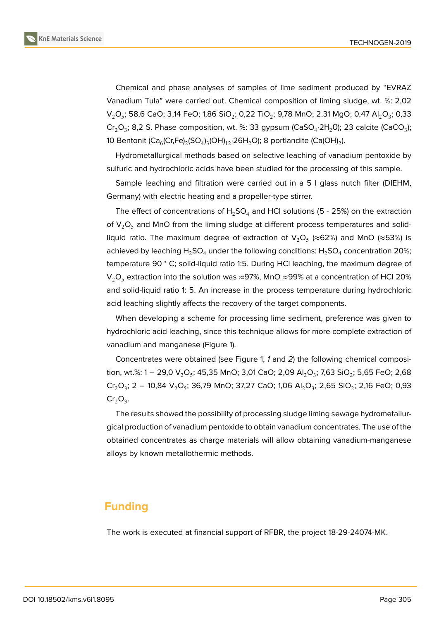Chemical and phase analyses of samples of lime sediment produced by "EVRAZ Vanadium Tula" were carried out. Chemical composition of liming sludge, wt. %: 2,02 V $_2$ O $_5$ ; 58,6 CaO; 3,14 FeO; 1,86 SiO $_2$ ; 0,22 TiO $_2$ ; 9,78 MnO; 2.31 MgO; 0,47 Al $_2$ O $_3$ ; 0,33 Cr<sub>2</sub>O<sub>3</sub>; 8,2 S. Phase composition, wt. %: 33 gypsum (CaSO<sub>4</sub>·2H<sub>2</sub>0); 23 calcite (CaCO<sub>3</sub>); 10 Bentonit (Ca $_{6}$ (Cr,Fe) $_{2}$ (SO $_{4}$ ) $_{3}$ (OH) $_{12}$ ·26H $_{2}$ O); 8 portlandite (Ca(OH) $_{2}$ ).

Hydrometallurgical methods based on selective leaching of vanadium pentoxide by sulfuric and hydrochloric acids have been studied for the processing of this sample.

Sample leaching and filtration were carried out in a 5 l glass nutch filter (DIEHM, Germany) with electric heating and a propeller-type stirrer.

The effect of concentrations of  $H_2SO_4$  and HCI solutions (5 - 25%) on the extraction of  $V_2O_5$  and MnO from the liming sludge at different process temperatures and solidliquid ratio. The maximum degree of extraction of  $\mathsf{V}_2\mathsf{O}_5$  (≈62%) and MnO (≈53%) is achieved by leaching  ${\sf H_2SO_4}$  under the following conditions:  ${\sf H_2SO_4}$  concentration 20%; temperature 90 ° C; solid-liquid ratio 1:5. During HCI leaching, the maximum degree of  $V_2O_5$  extraction into the solution was ≈97%, MnO ≈99% at a concentration of HCl 20% and solid-liquid ratio 1: 5. An increase in the process temperature during hydrochloric acid leaching slightly affects the recovery of the target components.

When developing a scheme for processing lime sediment, preference was given to hydrochloric acid leaching, since this technique allows for more complete extraction of vanadium and manganese (Figure 1).

Concentrates were obtained (see Figure 1, *1* and *2*) the following chemical composition, wt.%: 1 — 29,0 V $_{2}$ O $_{5}$ ; 45,35 MnO; 3,01 CaO; 2,09 Al $_{2}$ O $_{3}$ ; 7,63 SiO $_{2}$ ; 5,65 FeO; 2,68  $\rm Cr_2O_3$ ; 2 – 10,84 V $_2$ O<sub>5</sub>; 36,79 Mn[O;](#page-2-4) 37,27 CaO; 1,06 Al $_2$ O<sub>3</sub>; 2,65 SiO $_2$ ; 2,16 FeO; 0,93  $Cr_2O_3$ .

The results showed the possibility of processing sludge liming sewage hydrometallurgical production of vanadium pentoxide to obtain vanadium concentrates. The use of the obtained concentrates as charge materials will allow obtaining vanadium-manganese alloys by known metallothermic methods.

# **Funding**

The work is executed at financial support of RFBR, the project 18-29-24074-MK.